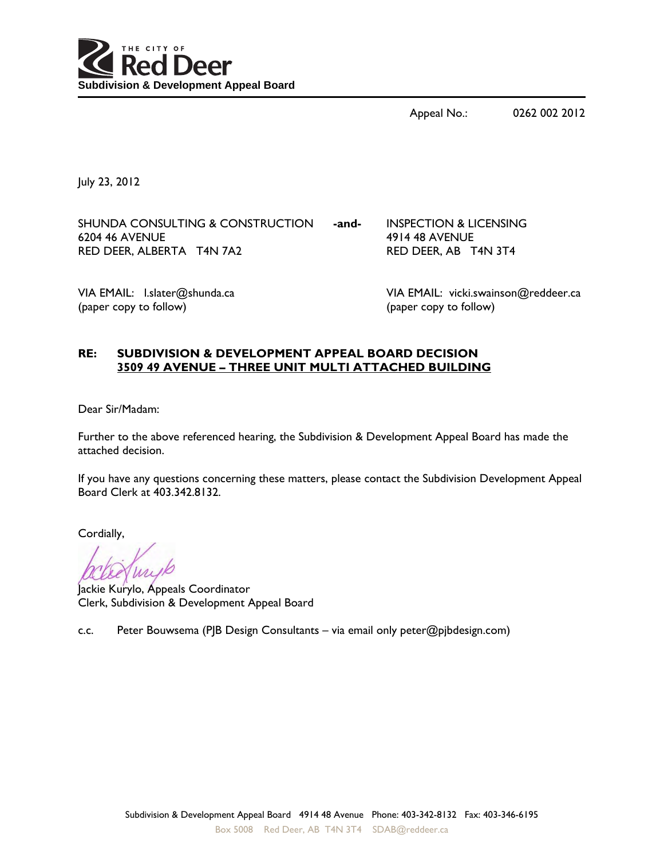

Appeal No.: 0262 002 2012

July 23, 2012

SHUNDA CONSULTING & CONSTRUCTION **-and-** INSPECTION & LICENSING 6204 46 AVENUE 4914 48 AVENUE RED DEER, ALBERTA T4N 7A2 RED DEER, AB T4N 3T4

(paper copy to follow) (paper copy to follow)

VIA EMAIL: l.slater@shunda.ca VIA EMAIL: vicki.swainson@reddeer.ca

# **RE: SUBDIVISION & DEVELOPMENT APPEAL BOARD DECISION 3509 49 AVENUE – THREE UNIT MULTI ATTACHED BUILDING**

Dear Sir/Madam:

Further to the above referenced hearing, the Subdivision & Development Appeal Board has made the attached decision.

If you have any questions concerning these matters, please contact the Subdivision Development Appeal Board Clerk at 403.342.8132.

Cordially,

Jackie Kurylo, Appeals Coordinator Clerk, Subdivision & Development Appeal Board

c.c. Peter Bouwsema (PJB Design Consultants – via email only peter@pjbdesign.com)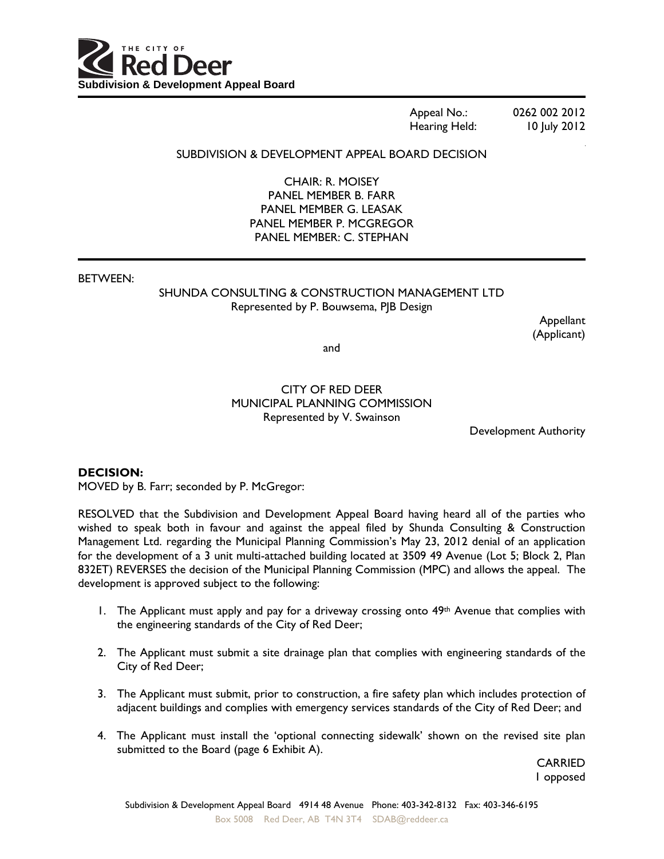

Appeal No.: 0262 002 2012 Hearing Held: 10 July 2012

## SUBDIVISION & DEVELOPMENT APPEAL BOARD DECISION

CHAIR: R. MOISEY PANEL MEMBER B. FARR PANEL MEMBER G. LEASAK PANEL MEMBER P. MCGREGOR PANEL MEMBER: C. STEPHAN

BETWEEN:

# SHUNDA CONSULTING & CONSTRUCTION MANAGEMENT LTD Represented by P. Bouwsema, PJB Design

Appellant (Applicant)

and

## CITY OF RED DEER MUNICIPAL PLANNING COMMISSION Represented by V. Swainson

Development Authority

## **DECISION:**

MOVED by B. Farr; seconded by P. McGregor:

RESOLVED that the Subdivision and Development Appeal Board having heard all of the parties who wished to speak both in favour and against the appeal filed by Shunda Consulting & Construction Management Ltd. regarding the Municipal Planning Commission's May 23, 2012 denial of an application for the development of a 3 unit multi-attached building located at 3509 49 Avenue (Lot 5; Block 2, Plan 832ET) REVERSES the decision of the Municipal Planning Commission (MPC) and allows the appeal. The development is approved subject to the following:

- 1. The Applicant must apply and pay for a driveway crossing onto 49<sup>th</sup> Avenue that complies with the engineering standards of the City of Red Deer;
- 2. The Applicant must submit a site drainage plan that complies with engineering standards of the City of Red Deer;
- 3. The Applicant must submit, prior to construction, a fire safety plan which includes protection of adjacent buildings and complies with emergency services standards of the City of Red Deer; and
- 4. The Applicant must install the 'optional connecting sidewalk' shown on the revised site plan submitted to the Board (page 6 Exhibit A).

**CARRIED** 1 opposed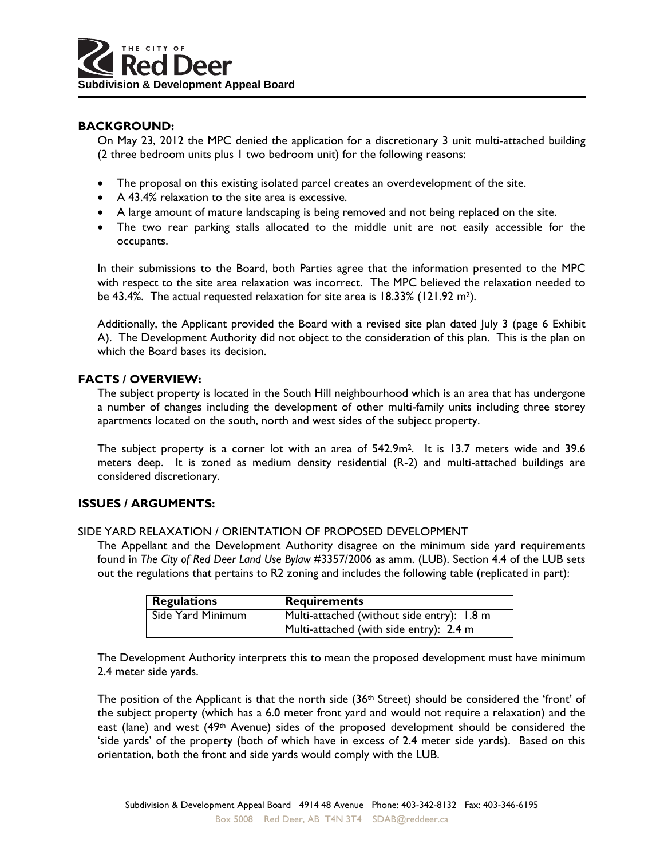

# **BACKGROUND:**

On May 23, 2012 the MPC denied the application for a discretionary 3 unit multi-attached building (2 three bedroom units plus 1 two bedroom unit) for the following reasons:

- The proposal on this existing isolated parcel creates an overdevelopment of the site.
- A 43.4% relaxation to the site area is excessive.
- A large amount of mature landscaping is being removed and not being replaced on the site.
- The two rear parking stalls allocated to the middle unit are not easily accessible for the occupants.

In their submissions to the Board, both Parties agree that the information presented to the MPC with respect to the site area relaxation was incorrect. The MPC believed the relaxation needed to be 43.4%. The actual requested relaxation for site area is 18.33% (121.92 m2).

Additionally, the Applicant provided the Board with a revised site plan dated July 3 (page 6 Exhibit A). The Development Authority did not object to the consideration of this plan. This is the plan on which the Board bases its decision.

## **FACTS / OVERVIEW:**

The subject property is located in the South Hill neighbourhood which is an area that has undergone a number of changes including the development of other multi-family units including three storey apartments located on the south, north and west sides of the subject property.

The subject property is a corner lot with an area of 542.9m2. It is 13.7 meters wide and 39.6 meters deep. It is zoned as medium density residential (R-2) and multi-attached buildings are considered discretionary.

## **ISSUES / ARGUMENTS:**

#### SIDE YARD RELAXATION / ORIENTATION OF PROPOSED DEVELOPMENT

The Appellant and the Development Authority disagree on the minimum side yard requirements found in *The City of Red Deer Land Use Bylaw* #3357/2006 as amm. (LUB). Section 4.4 of the LUB sets out the regulations that pertains to R2 zoning and includes the following table (replicated in part):

| <b>Regulations</b> | <b>Requirements</b>                        |
|--------------------|--------------------------------------------|
| Side Yard Minimum  | Multi-attached (without side entry): 1.8 m |
|                    | Multi-attached (with side entry): 2.4 m    |

The Development Authority interprets this to mean the proposed development must have minimum 2.4 meter side yards.

The position of the Applicant is that the north side (36<sup>th</sup> Street) should be considered the 'front' of the subject property (which has a 6.0 meter front yard and would not require a relaxation) and the east (lane) and west (49<sup>th</sup> Avenue) sides of the proposed development should be considered the 'side yards' of the property (both of which have in excess of 2.4 meter side yards). Based on this orientation, both the front and side yards would comply with the LUB.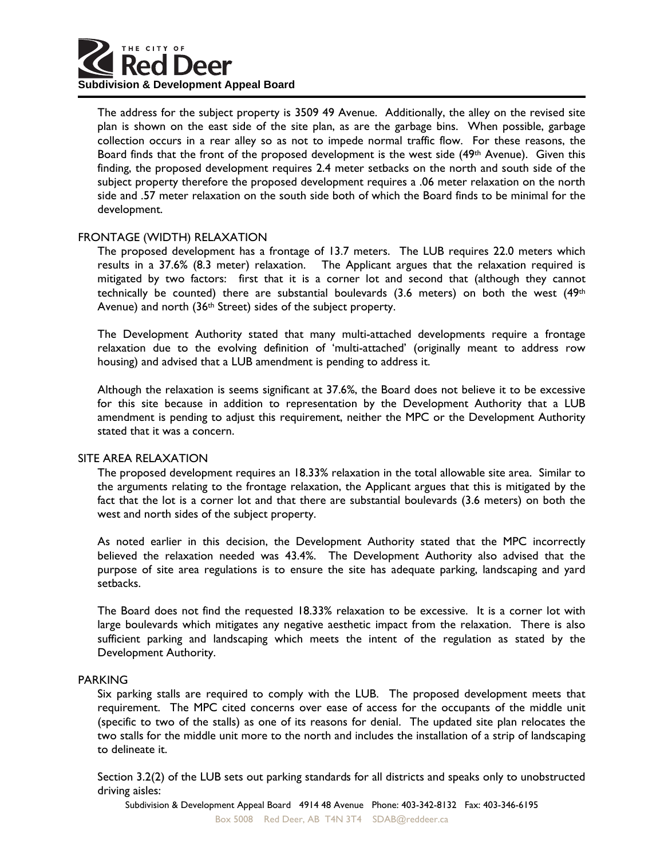

The address for the subject property is 3509 49 Avenue. Additionally, the alley on the revised site plan is shown on the east side of the site plan, as are the garbage bins. When possible, garbage collection occurs in a rear alley so as not to impede normal traffic flow. For these reasons, the Board finds that the front of the proposed development is the west side (49<sup>th</sup> Avenue). Given this finding, the proposed development requires 2.4 meter setbacks on the north and south side of the subject property therefore the proposed development requires a .06 meter relaxation on the north side and .57 meter relaxation on the south side both of which the Board finds to be minimal for the development.

## FRONTAGE (WIDTH) RELAXATION

The proposed development has a frontage of 13.7 meters. The LUB requires 22.0 meters which results in a 37.6% (8.3 meter) relaxation. The Applicant argues that the relaxation required is mitigated by two factors: first that it is a corner lot and second that (although they cannot technically be counted) there are substantial boulevards  $(3.6 \text{ meters})$  on both the west  $(49th)$ Avenue) and north (36th Street) sides of the subject property.

The Development Authority stated that many multi-attached developments require a frontage relaxation due to the evolving definition of 'multi-attached' (originally meant to address row housing) and advised that a LUB amendment is pending to address it.

Although the relaxation is seems significant at 37.6%, the Board does not believe it to be excessive for this site because in addition to representation by the Development Authority that a LUB amendment is pending to adjust this requirement, neither the MPC or the Development Authority stated that it was a concern.

## SITE AREA RELAXATION

The proposed development requires an 18.33% relaxation in the total allowable site area. Similar to the arguments relating to the frontage relaxation, the Applicant argues that this is mitigated by the fact that the lot is a corner lot and that there are substantial boulevards (3.6 meters) on both the west and north sides of the subject property.

As noted earlier in this decision, the Development Authority stated that the MPC incorrectly believed the relaxation needed was 43.4%. The Development Authority also advised that the purpose of site area regulations is to ensure the site has adequate parking, landscaping and yard setbacks.

The Board does not find the requested 18.33% relaxation to be excessive. It is a corner lot with large boulevards which mitigates any negative aesthetic impact from the relaxation. There is also sufficient parking and landscaping which meets the intent of the regulation as stated by the Development Authority.

## PARKING

Six parking stalls are required to comply with the LUB. The proposed development meets that requirement. The MPC cited concerns over ease of access for the occupants of the middle unit (specific to two of the stalls) as one of its reasons for denial. The updated site plan relocates the two stalls for the middle unit more to the north and includes the installation of a strip of landscaping to delineate it.

Section 3.2(2) of the LUB sets out parking standards for all districts and speaks only to unobstructed driving aisles: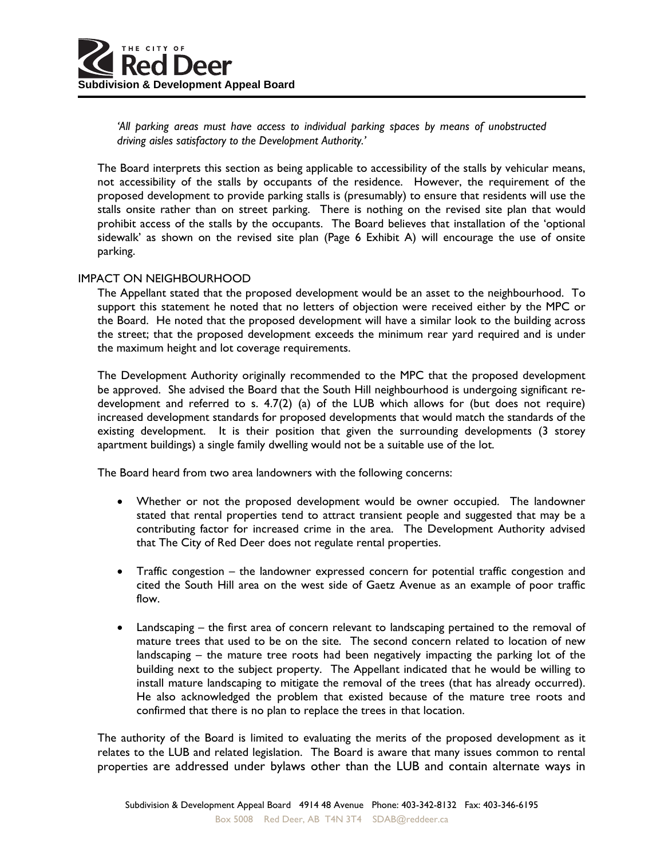

*'All parking areas must have access to individual parking spaces by means of unobstructed driving aisles satisfactory to the Development Authority.'* 

The Board interprets this section as being applicable to accessibility of the stalls by vehicular means, not accessibility of the stalls by occupants of the residence. However, the requirement of the proposed development to provide parking stalls is (presumably) to ensure that residents will use the stalls onsite rather than on street parking. There is nothing on the revised site plan that would prohibit access of the stalls by the occupants. The Board believes that installation of the 'optional sidewalk' as shown on the revised site plan (Page 6 Exhibit A) will encourage the use of onsite parking.

## IMPACT ON NEIGHBOURHOOD

The Appellant stated that the proposed development would be an asset to the neighbourhood. To support this statement he noted that no letters of objection were received either by the MPC or the Board. He noted that the proposed development will have a similar look to the building across the street; that the proposed development exceeds the minimum rear yard required and is under the maximum height and lot coverage requirements.

The Development Authority originally recommended to the MPC that the proposed development be approved. She advised the Board that the South Hill neighbourhood is undergoing significant redevelopment and referred to s. 4.7(2) (a) of the LUB which allows for (but does not require) increased development standards for proposed developments that would match the standards of the existing development. It is their position that given the surrounding developments (3 storey apartment buildings) a single family dwelling would not be a suitable use of the lot.

The Board heard from two area landowners with the following concerns:

- Whether or not the proposed development would be owner occupied. The landowner stated that rental properties tend to attract transient people and suggested that may be a contributing factor for increased crime in the area. The Development Authority advised that The City of Red Deer does not regulate rental properties.
- Traffic congestion the landowner expressed concern for potential traffic congestion and cited the South Hill area on the west side of Gaetz Avenue as an example of poor traffic flow.
- Landscaping the first area of concern relevant to landscaping pertained to the removal of mature trees that used to be on the site. The second concern related to location of new landscaping – the mature tree roots had been negatively impacting the parking lot of the building next to the subject property. The Appellant indicated that he would be willing to install mature landscaping to mitigate the removal of the trees (that has already occurred). He also acknowledged the problem that existed because of the mature tree roots and confirmed that there is no plan to replace the trees in that location.

The authority of the Board is limited to evaluating the merits of the proposed development as it relates to the LUB and related legislation. The Board is aware that many issues common to rental properties are addressed under bylaws other than the LUB and contain alternate ways in